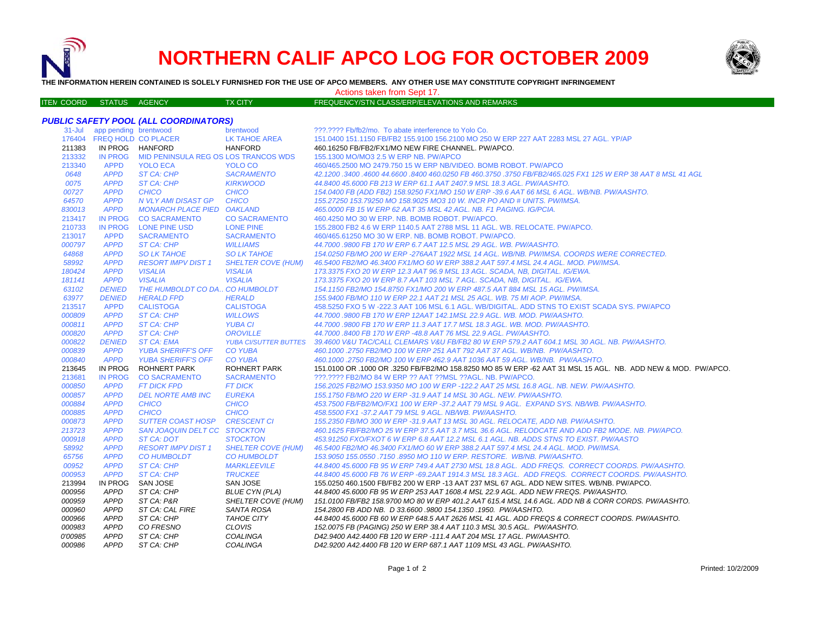

ITE M

# **NORTHERN CALIF APCO LOG FOR OCTOBER 2009**



**THE INFORMATION HEREIN CONTAINED IS SOLELY FURNISHED FOR THE USE OF APCO MEMBERS. ANY OTHER USE MAY CONSTITUTE COPYRIGHT INFRINGEMENT**

## Actions taken from Sept 17.

## TX CITY FREQUENCY/STN CLASS/ERP/ELEVATIONS AND REMARKS

## *PUBLIC SAFETY POOL (ALL COORDINATORS)*

| $31 -$ Jul      | app pending brentwood      |                                         | brentwood                                    | ???.???? Fb/fb2/mo. To abate interference to Yolo Co.                                                                                                                             |
|-----------------|----------------------------|-----------------------------------------|----------------------------------------------|-----------------------------------------------------------------------------------------------------------------------------------------------------------------------------------|
| 176404          | <b>FREQ HOLD CO PLACER</b> |                                         | <b>LK TAHOE AREA</b>                         | 151.0400 151.1150 FB/FB2 155.9100 156.2100 MO 250 W ERP 227 AAT 2283 MSL 27 AGL. YP/AP                                                                                            |
| 211383          | IN PROG HANFORD            |                                         | <b>HANFORD</b>                               | 460.16250 FB/FB2/FX1/MO NEW FIRE CHANNEL. PW/APCO.                                                                                                                                |
| 213332          | <b>IN PROG</b>             | MID PENINSULA REG OS LOS TRANCOS WDS    |                                              | 155.1300 MO/MO3 2.5 W ERP NB, PW/APCO                                                                                                                                             |
| 213340          | <b>APPD</b>                | <b>YOLO ECA</b>                         | YOLO CO                                      | 460/465.2500 MO 2479.750 15 W ERP NB/VIDEO, BOMB ROBOT, PW/APCO                                                                                                                   |
| 0648            | <b>APPD</b>                | <b>ST CA: CHP</b>                       | <b>SACRAMENTO</b>                            | 42.1200.3400.4600 44.6600.8400 460.0250 FB 460.3750 .3750 FB/FB2/465.025 FX1 125 W ERP 38 AAT 8 MSL 41 AGL                                                                        |
| 0075            | <b>APPD</b>                | <b>ST CA: CHP</b>                       | <b>KIRKWOOD</b>                              | 44.8400 45.6000 FB 213 W ERP 61.1 AAT 2407.9 MSL 18.3 AGL, PW/AASHTO.                                                                                                             |
| 00727           | <b>APPD</b>                | <b>CHICO</b>                            | <b>CHICO</b>                                 | 154.0400 FB (ADD FB2) 158.9250 FX1/MO 150 W ERP -39.6 AAT 66 MSL 6 AGL. WB/NB. PW/AASHTO.                                                                                         |
| 64570           | <b>APPD</b>                | N VLY AMI DISAST GP                     | <b>CHICO</b>                                 | 155.27250 153.79250 MO 158.9025 MO3 10 W. INCR PO AND # UNITS, PW/IMSA.                                                                                                           |
| 830013          | <b>APPD</b>                | <b>MONARCH PLACE PIED OAKLAND</b>       |                                              | 465,0000 FB 15 W ERP 62 AAT 35 MSL 42 AGL, NB, F1 PAGING, IG/PCIA,                                                                                                                |
| 213417          | <b>IN PROG</b>             | <b>CO SACRAMENTO</b>                    | <b>CO SACRAMENTO</b>                         | 460.4250 MO 30 W ERP. NB. BOMB ROBOT. PW/APCO.                                                                                                                                    |
| 210733          | <b>IN PROG</b>             | <b>LONE PINE USD</b>                    | <b>LONE PINE</b>                             | 155.2800 FB2 4.6 W ERP 1140.5 AAT 2788 MSL 11 AGL, WB, RELOCATE, PW/APCO,                                                                                                         |
| 213017          | <b>APPD</b>                | <b>SACRAMENTO</b>                       | <b>SACRAMENTO</b>                            | 460/465.61250 MO 30 W ERP. NB. BOMB ROBOT. PW/APCO.                                                                                                                               |
| 000797          | <b>APPD</b>                | ST CA: CHP                              | <b>WILLIAMS</b>                              | 44,7000 .9800 FB 170 W ERP 6.7 AAT 12.5 MSL 29 AGL, WB, PW/AASHTO,                                                                                                                |
| 64868           | <b>APPD</b>                | <b>SO LK TAHOE</b>                      | <b>SO LK TAHOE</b>                           | 154.0250 FB/MO 200 W ERP -276AAT 1922 MSL 14 AGL, WB/NB, PW/IMSA, COORDS WERE CORRECTED.                                                                                          |
| 58992           | <b>APPD</b>                | <b>RESORT IMPV DIST 1</b>               | <b>SHELTER COVE (HUM)</b>                    | 46.5400 FB2/MO 46.3400 FX1/MO 60 W ERP 388.2 AAT 597.4 MSL 24.4 AGL. MOD. PW/IMSA.                                                                                                |
| 180424          | <b>APPD</b>                | <b>VISALIA</b>                          | <b>VISALIA</b>                               | 173.3375 FXO 20 W ERP 12.3 AAT 96.9 MSL 13 AGL. SCADA, NB, DIGITAL. IG/EWA.                                                                                                       |
| 181141          | <b>APPD</b>                | <b>VISALIA</b>                          | <b>VISALIA</b>                               | 173.3375 FXO 20 W ERP 8.7 AAT 103 MSL 7 AGL. SCADA. NB. DIGITAL. IG/EWA.                                                                                                          |
| 63102           | <b>DENIED</b>              | THE HUMBOLDT CO DA., CO HUMBOLDT        |                                              | 154.1150 FB2/MO 154.8750 FX1/MO 200 W ERP 487.5 AAT 884 MSL 15 AGL, PW/IMSA.                                                                                                      |
| 63977           | <b>DENIED</b>              | <b>HERALD FPD</b>                       | <b>HERALD</b>                                | 155.9400 FB/MO 110 W ERP 22.1 AAT 21 MSL 25 AGL. WB. 75 MI AOP. PW/IMSA.                                                                                                          |
| 213517          | <b>APPD</b>                | <b>CALISTOGA</b>                        | <b>CALISTOGA</b>                             | 458.5250 FXO 5 W -222.3 AAT 106 MSL 6.1 AGL. WB/DIGITAL. ADD STNS TO EXIST SCADA SYS. PW/APCO                                                                                     |
| 000809          | <b>APPD</b>                | <b>ST CA: CHP</b>                       | <b>WILLOWS</b>                               | 44.7000 .9800 FB 170 W ERP 12AAT 142.1MSL 22.9 AGL. WB. MOD. PW/AASHTO.                                                                                                           |
| 000811          | <b>APPD</b>                | ST CA: CHP                              | <b>YUBA CI</b>                               | 44.7000.9800 FB 170 W ERP 11.3 AAT 17.7 MSL 18.3 AGL, WB, MOD, PW/AASHTO,                                                                                                         |
| 000820          | <b>APPD</b>                | ST CA: CHP                              | <b>OROVILLE</b>                              | 44,7000,8400 FB 170 W ERP -48.8 AAT 76 MSL 22.9 AGL, PW/AASHTO.                                                                                                                   |
| 000822          | <b>DENIED</b>              | <b>ST CA: EMA</b>                       | <b>YUBA CI/SUTTER BUTTES</b>                 | 39.4600 V&U TAC/CALL CLEMARS V&U FB/FB2 80 W ERP 579.2 AAT 604.1 MSL 30 AGL. NB. PW/AASHTO.                                                                                       |
| 000839          | <b>APPD</b>                | <b>YUBA SHERIFF'S OFF</b>               | <b>CO YUBA</b>                               | 460.1000.2750 FB2/MO 100 W ERP 251 AAT 792 AAT 37 AGL, WB/NB, PW/AASHTO,                                                                                                          |
| 000840          | <b>APPD</b>                | <b>YUBA SHERIFF'S OFF</b>               | <b>CO YUBA</b>                               | 460.1000 .2750 FB2/MO 100 W ERP 462.9 AAT 1036 AAT 59 AGL, WB/NB, PW/AASHTO,                                                                                                      |
| 213645          | IN PROG                    | <b>ROHNERT PARK</b>                     | <b>ROHNERT PARK</b>                          | 151.0100 OR .1000 OR .3250 FB/FB2/MO 158.8250 MO 85 W ERP -62 AAT 31 MSL 15 AGL. NB. ADD NEW & MOD. PW/APCO.                                                                      |
| 213681          | <b>IN PROG</b>             | <b>CO SACRAMENTO</b>                    | <b>SACRAMENTO</b>                            | ???.???? FB2/MO 84 W ERP ?? AAT ?? MSL ?? AGL. NB. PW/APCO.                                                                                                                       |
| 000850          | <b>APPD</b>                | <b>FT DICK FPD</b>                      | <b>FT DICK</b>                               | 156.2025 FB2/MO 153.9350 MO 100 W ERP -122.2 AAT 25 MSL 16.8 AGL. NB. NEW. PW/AASHTO.                                                                                             |
| 000857          | <b>APPD</b>                | <b>DEL NORTE AMB INC</b>                | <b>EUREKA</b>                                | 155.1750 FB/MO 220 W ERP -31.9 AAT 14 MSL 30 AGL. NEW. PW/AASHTO.                                                                                                                 |
| 000884          | <b>APPD</b>                | <b>CHICO</b>                            | <b>CHICO</b>                                 | 453.7500 FB/FB2/MO/FX1 100 W ERP -37.2 AAT 79 MSL 9 AGL. EXPAND SYS. NB/WB. PW/AASHTO.                                                                                            |
| 000885          | <b>APPD</b>                | <b>CHICO</b>                            | <b>CHICO</b>                                 | 458.5500 FX1-37.2 AAT 79 MSL 9 AGL, NB/WB, PW/AASHTO,                                                                                                                             |
| 000873          | <b>APPD</b>                | <b>SUTTER COAST HOSP</b>                | <b>CRESCENT CI</b>                           |                                                                                                                                                                                   |
|                 | <b>APPD</b>                | SAN JOAQUIN DELT CC STOCKTON            |                                              | 155.2350 FB/MO 300 W ERP -31.9 AAT 13 MSL 30 AGL. RELOCATE, ADD NB. PW/AASHTO.<br>460.1625 FB/FB2/MO 25 W ERP 37.5 AAT 3.7 MSL 36.6 AGL. RELODCATE AND ADD FB2 MODE. NB. PW/APCO. |
| 213723          |                            |                                         |                                              |                                                                                                                                                                                   |
| 000918<br>58992 | <b>APPD</b><br><b>APPD</b> | ST CA: DOT<br><b>RESORT IMPV DIST 1</b> | <b>STOCKTON</b><br><b>SHELTER COVE (HUM)</b> | 453.91250 FXO/FXOT 6 W ERP 6.8 AAT 12.2 MSL 6.1 AGL. NB. ADDS STNS TO EXIST. PW/AASTO                                                                                             |
|                 |                            |                                         |                                              | 46.5400 FB2/MO 46.3400 FX1/MO 60 W ERP 388.2 AAT 597.4 MSL 24.4 AGL. MOD. PW/IMSA.                                                                                                |
| 65756           | <b>APPD</b>                | <b>CO HUMBOLDT</b>                      | <b>CO HUMBOLDT</b>                           | 153,9050 155,0550 .7150 .8950 MO 110 W ERP, RESTORE, WB/NB, PW/AASHTO,                                                                                                            |
| 00952           | <b>APPD</b>                | <b>ST CA: CHP</b>                       | <b>MARKLEEVILE</b>                           | 44.8400 45.6000 FB 95 W ERP 749.4 AAT 2730 MSL 18.8 AGL. ADD FREQS. CORRECT COORDS. PW/AASHTO.                                                                                    |
| 000953          | <b>APPD</b>                | <b>ST CA: CHP</b>                       | <b>TRUCKEE</b>                               | 44.8400 45.6000 FB 76 W ERP -69.2AAT 1914.3 MSL 18.3 AGL, ADD FREQS, CORRECT COORDS, PW/AASHTO,                                                                                   |
| 213994          | <b>IN PROG</b>             | SAN JOSE                                | SAN JOSE                                     | 155,0250 460,1500 FB/FB2 200 W ERP -13 AAT 237 MSL 67 AGL, ADD NEW SITES, WB/NB, PW/APCO,                                                                                         |
| 000956          | <b>APPD</b>                | ST CA: CHP                              | <b>BLUE CYN (PLA)</b>                        | 44.8400 45.6000 FB 95 W ERP 253 AAT 1608.4 MSL 22.9 AGL. ADD NEW FREQS. PW/AASHTO.                                                                                                |
| 000959          | <b>APPD</b>                | ST CA: P&R                              | SHELTER COVE (HUM)                           | 151.0100 FB/FB2 158.9700 MO 80 W ERP 401.2 AAT 615.4 MSL 14.6 AGL. ADD NB & CORR CORDS. PW/AASHTO.                                                                                |
| 000960          | <b>APPD</b>                | ST CA: CAL FIRE                         | <b>SANTA ROSA</b>                            | 154.2800 FB ADD NB. D 33.6600 .9800 154.1350 .1950. PW/AASHTO.                                                                                                                    |
| 000966          | <b>APPD</b>                | ST CA: CHP                              | <b>TAHOE CITY</b>                            | 44.8400 45.6000 FB 60 W ERP 648.5 AAT 2626 MSL 41 AGL. ADD FREQS & CORRECT COORDS. PW/AASHTO.                                                                                     |
| 000983          | <b>APPD</b>                | CO FRESNO                               | <b>CLOVIS</b>                                | 152.0075 FB (PAGING) 250 W ERP 38.4 AAT 110.3 MSL 30.5 AGL. PW/AASHTO.                                                                                                            |
| 0'00985         | <b>APPD</b>                | ST CA: CHP                              | <b>COALINGA</b>                              | D42.9400 A42.4400 FB 120 W ERP -111.4 AAT 204 MSL 17 AGL, PW/AASHTO.                                                                                                              |
| 000986          | <b>APPD</b>                | ST CA: CHP                              | <b>COALINGA</b>                              | D42.9200 A42.4400 FB 120 W ERP 687.1 AAT 1109 MSL 43 AGL, PW/AASHTO.                                                                                                              |